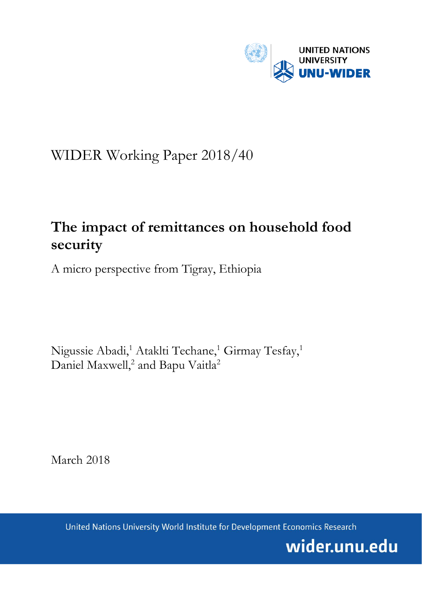

# WIDER Working Paper 2018/40

# **The impact of remittances on household food security**

A micro perspective from Tigray, Ethiopia

Nigussie Abadi,<sup>1</sup> Ataklti Techane,<sup>1</sup> Girmay Tesfay,<sup>1</sup> Daniel Maxwell,<sup>2</sup> and Bapu Vaitla<sup>2</sup>

March 2018

United Nations University World Institute for Development Economics Research

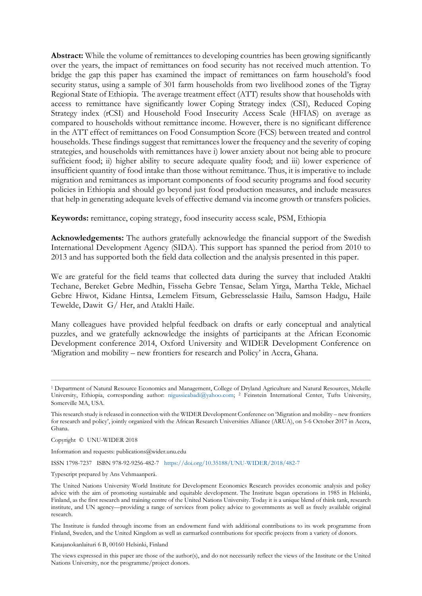**Abstract:** While the volume of remittances to developing countries has been growing significantly over the years, the impact of remittances on food security has not received much attention. To bridge the gap this paper has examined the impact of remittances on farm household's food security status, using a sample of 301 farm households from two livelihood zones of the Tigray Regional State of Ethiopia. The average treatment effect (ATT) results show that households with access to remittance have significantly lower Coping Strategy index (CSI), Reduced Coping Strategy index (rCSI) and Household Food Insecurity Access Scale (HFIAS) on average as compared to households without remittance income. However, there is no significant difference in the ATT effect of remittances on Food Consumption Score (FCS) between treated and control households. These findings suggest that remittances lower the frequency and the severity of coping strategies, and households with remittances have i) lower anxiety about not being able to procure sufficient food; ii) higher ability to secure adequate quality food; and iii) lower experience of insufficient quantity of food intake than those without remittance. Thus, it is imperative to include migration and remittances as important components of food security programs and food security policies in Ethiopia and should go beyond just food production measures, and include measures that help in generating adequate levels of effective demand via income growth or transfers policies.

**Keywords:** remittance, coping strategy, food insecurity access scale, PSM, Ethiopia

**Acknowledgements:** The authors gratefully acknowledge the financial support of the Swedish International Development Agency (SIDA). This support has spanned the period from 2010 to 2013 and has supported both the field data collection and the analysis presented in this paper.

We are grateful for the field teams that collected data during the survey that included Ataklti Techane, Bereket Gebre Medhin, Fisseha Gebre Tensae, Selam Yirga, Martha Tekle, Michael Gebre Hiwot, Kidane Hintsa, Lemelem Fitsum, Gebresselassie Hailu, Samson Hadgu, Haile Tewelde, Dawit G/ Her, and Ataklti Haile.

Many colleagues have provided helpful feedback on drafts or early conceptual and analytical puzzles, and we gratefully acknowledge the insights of participants at the African Economic Development conference 2014, Oxford University and WIDER Development Conference on 'Migration and mobility – new frontiers for research and Policy' in Accra, Ghana.

Copyright © UNU-WIDER 2018

Information and requests: publications@wider.unu.edu

ISSN 1798-7237 ISBN 978-92-9256-482-7 <https://doi.org/10.35188/UNU-WIDER/2018/482-7>

Typescript prepared by Ans Vehmaanperä.

Katajanokanlaituri 6 B, 00160 Helsinki, Finland

<sup>1</sup> Department of Natural Resource Economics and Management, College of Dryland Agriculture and Natural Resources, Mekelle University, Ethiopia, corresponding author: [nigussieabadi@yahoo.com;](mailto:nigussieabadi@yahoo.com) <sup>2</sup> Feinstein International Center, Tufts University, Somerville MA, USA.

This research study is released in connection with the WIDER Development Conference on 'Migration and mobility – new frontiers for research and policy', jointly organized with the African Research Universities Alliance (ARUA), on 5-6 October 2017 in Accra, Ghana.

The United Nations University World Institute for Development Economics Research provides economic analysis and policy advice with the aim of promoting sustainable and equitable development. The Institute began operations in 1985 in Helsinki, Finland, as the first research and training centre of the United Nations University. Today it is a unique blend of think tank, research institute, and UN agency—providing a range of services from policy advice to governments as well as freely available original research.

The Institute is funded through income from an endowment fund with additional contributions to its work programme from Finland, Sweden, and the United Kingdom as well as earmarked contributions for specific projects from a variety of donors.

The views expressed in this paper are those of the author(s), and do not necessarily reflect the views of the Institute or the United Nations University, nor the programme/project donors.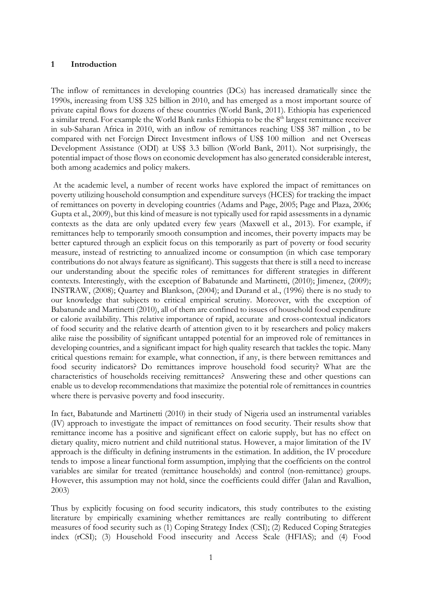#### **1 Introduction**

The inflow of remittances in developing countries (DCs) has increased dramatically since the 1990s, increasing from US\$ 325 billion in 2010, and has emerged as a most important source of private capital flows for dozens of these countries (World Bank, 2011). Ethiopia has experienced a similar trend. For example the World Bank ranks Ethiopia to be the 8<sup>th</sup> largest remittance receiver in sub-Saharan Africa in 2010, with an inflow of remittances reaching US\$ 387 million , to be compared with net Foreign Direct Investment inflows of US\$ 100 million and net Overseas Development Assistance (ODI) at US\$ 3.3 billion (World Bank, 2011). Not surprisingly, the potential impact of those flows on economic development has also generated considerable interest, both among academics and policy makers.

At the academic level, a number of recent works have explored the impact of remittances on poverty utilizing household consumption and expenditure surveys (HCES) for tracking the impact of remittances on poverty in developing countries (Adams and Page, 2005; Page and Plaza, 2006; Gupta et al., 2009), but this kind of measure is not typically used for rapid assessments in a dynamic contexts as the data are only updated every few years (Maxwell et al., 2013). For example, if remittances help to temporarily smooth consumption and incomes, their poverty impacts may be better captured through an explicit focus on this temporarily as part of poverty or food security measure, instead of restricting to annualized income or consumption (in which case temporary contributions do not always feature as significant). This suggests that there is still a need to increase our understanding about the specific roles of remittances for different strategies in different contexts. Interestingly, with the exception of Babatunde and Martinetti, (2010); Jimenez, (2009); INSTRAW, (2008); Quartey and Blankson, (2004); and Durand et al., (1996) there is no study to our knowledge that subjects to critical empirical scrutiny. Moreover, with the exception of Babatunde and Martinetti (2010), all of them are confined to issues of household food expenditure or calorie availability. This relative importance of rapid, accurate and cross-contextual indicators of food security and the relative dearth of attention given to it by researchers and policy makers alike raise the possibility of significant untapped potential for an improved role of remittances in developing countries, and a significant impact for high quality research that tackles the topic. Many critical questions remain: for example, what connection, if any, is there between remittances and food security indicators? Do remittances improve household food security? What are the characteristics of households receiving remittances? Answering these and other questions can enable us to develop recommendations that maximize the potential role of remittances in countries where there is pervasive poverty and food insecurity.

In fact, Babatunde and Martinetti (2010) in their study of Nigeria used an instrumental variables (IV) approach to investigate the impact of remittances on food security. Their results show that remittance income has a positive and significant effect on calorie supply, but has no effect on dietary quality, micro nutrient and child nutritional status. However, a major limitation of the IV approach is the difficulty in defining instruments in the estimation. In addition, the IV procedure tends to impose a linear functional form assumption, implying that the coefficients on the control variables are similar for treated (remittance households) and control (non-remittance) groups. However, this assumption may not hold, since the coefficients could differ (Jalan and Ravallion, 2003)

Thus by explicitly focusing on food security indicators, this study contributes to the existing literature by empirically examining whether remittances are really contributing to different measures of food security such as (1) Coping Strategy Index (CSI); (2) Reduced Coping Strategies index (rCSI); (3) Household Food insecurity and Access Scale (HFIAS); and (4) Food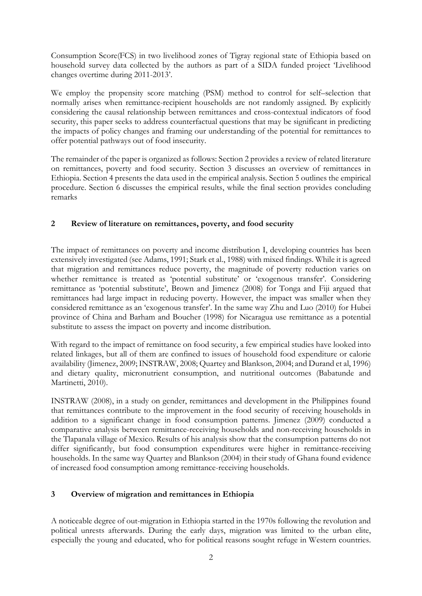Consumption Score(FCS) in two livelihood zones of Tigray regional state of Ethiopia based on household survey data collected by the authors as part of a SIDA funded project 'Livelihood changes overtime during 2011-2013'.

We employ the propensity score matching (PSM) method to control for self–selection that normally arises when remittance-recipient households are not randomly assigned. By explicitly considering the causal relationship between remittances and cross-contextual indicators of food security, this paper seeks to address counterfactual questions that may be significant in predicting the impacts of policy changes and framing our understanding of the potential for remittances to offer potential pathways out of food insecurity.

The remainder of the paper is organized as follows: Section 2 provides a review of related literature on remittances, poverty and food security. Section 3 discusses an overview of remittances in Ethiopia. Section 4 presents the data used in the empirical analysis. Section 5 outlines the empirical procedure. Section 6 discusses the empirical results, while the final section provides concluding remarks

## **2 Review of literature on remittances, poverty, and food security**

The impact of remittances on poverty and income distribution I, developing countries has been extensively investigated (see Adams, 1991; Stark et al., 1988) with mixed findings. While it is agreed that migration and remittances reduce poverty, the magnitude of poverty reduction varies on whether remittance is treated as 'potential substitute' or 'exogenous transfer'. Considering remittance as 'potential substitute', Brown and Jimenez (2008) for Tonga and Fiji argued that remittances had large impact in reducing poverty. However, the impact was smaller when they considered remittance as an 'exogenous transfer'. In the same way Zhu and Luo (2010) for Hubei province of China and Barham and Boucher (1998) for Nicaragua use remittance as a potential substitute to assess the impact on poverty and income distribution.

With regard to the impact of remittance on food security, a few empirical studies have looked into related linkages, but all of them are confined to issues of household food expenditure or calorie availability (Jimenez, 2009; INSTRAW, 2008; Quartey and Blankson, 2004; and Durand et al, 1996) and dietary quality, micronutrient consumption, and nutritional outcomes (Babatunde and Martinetti, 2010).

INSTRAW (2008), in a study on gender, remittances and development in the Philippines found that remittances contribute to the improvement in the food security of receiving households in addition to a significant change in food consumption patterns. Jimenez (2009) conducted a comparative analysis between remittance-receiving households and non-receiving households in the Tlapanala village of Mexico. Results of his analysis show that the consumption patterns do not differ significantly, but food consumption expenditures were higher in remittance-receiving households. In the same way Quartey and Blankson (2004) in their study of Ghana found evidence of increased food consumption among remittance-receiving households.

## **3 Overview of migration and remittances in Ethiopia**

A noticeable degree of out-migration in Ethiopia started in the 1970s following the revolution and political unrests afterwards. During the early days, migration was limited to the urban elite, especially the young and educated, who for political reasons sought refuge in Western countries.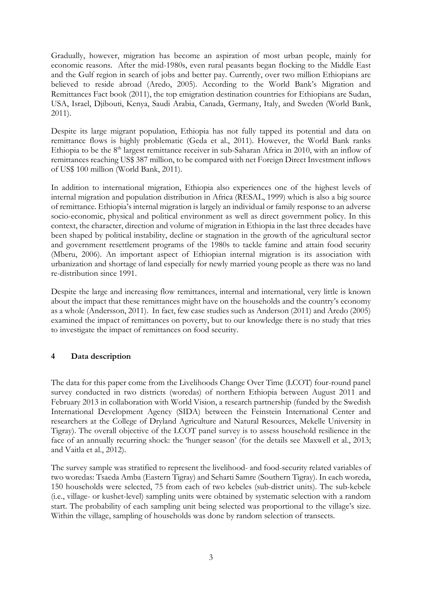Gradually, however, migration has become an aspiration of most urban people, mainly for economic reasons. After the mid-1980s, even rural peasants began flocking to the Middle East and the Gulf region in search of jobs and better pay. Currently, over two million Ethiopians are believed to reside abroad (Aredo, 2005). According to the World Bank's Migration and Remittances Fact book (2011), the top emigration destination countries for Ethiopians are Sudan, USA, Israel, Djibouti, Kenya, Saudi Arabia, Canada, Germany, Italy, and Sweden (World Bank, 2011).

Despite its large migrant population, Ethiopia has not fully tapped its potential and data on remittance flows is highly problematic (Geda et al., 2011). However, the World Bank ranks Ethiopia to be the  $8<sup>th</sup>$  largest remittance receiver in sub-Saharan Africa in 2010, with an inflow of remittances reaching US\$ 387 million, to be compared with net Foreign Direct Investment inflows of US\$ 100 million (World Bank, 2011).

In addition to international migration, Ethiopia also experiences one of the highest levels of internal migration and population distribution in Africa (RESAL, 1999) which is also a big source of remittance. Ethiopia's internal migration is largely an individual or family response to an adverse socio-economic, physical and political environment as well as direct government policy. In this context, the character, direction and volume of migration in Ethiopia in the last three decades have been shaped by political instability, decline or stagnation in the growth of the agricultural sector and government resettlement programs of the 1980s to tackle famine and attain food security (Mberu, 2006). An important aspect of Ethiopian internal migration is its association with urbanization and shortage of land especially for newly married young people as there was no land re-distribution since 1991.

Despite the large and increasing flow remittances, internal and international, very little is known about the impact that these remittances might have on the households and the country's economy as a whole (Andersson, 2011). In fact, few case studies such as Anderson (2011) and Aredo (2005) examined the impact of remittances on poverty, but to our knowledge there is no study that tries to investigate the impact of remittances on food security.

## **4 Data description**

The data for this paper come from the Livelihoods Change Over Time (LCOT) four-round panel survey conducted in two districts (woredas) of northern Ethiopia between August 2011 and February 2013 in collaboration with World Vision, a research partnership (funded by the Swedish International Development Agency (SIDA) between the Feinstein International Center and researchers at the College of Dryland Agriculture and Natural Resources, Mekelle University in Tigray). The overall objective of the LCOT panel survey is to assess household resilience in the face of an annually recurring shock: the 'hunger season' (for the details see Maxwell et al., 2013; and Vaitla et al., 2012).

The survey sample was stratified to represent the livelihood- and food-security related variables of two woredas: Tsaeda Amba (Eastern Tigray) and Seharti Samre (Southern Tigray). In each woreda, 150 households were selected, 75 from each of two kebeles (sub-district units). The sub-kebele (i.e., village- or kushet-level) sampling units were obtained by systematic selection with a random start. The probability of each sampling unit being selected was proportional to the village's size. Within the village, sampling of households was done by random selection of transects.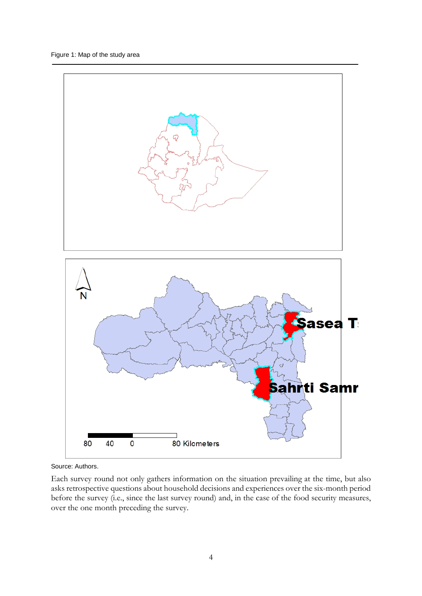

Source: Authors.

Each survey round not only gathers information on the situation prevailing at the time, but also asks retrospective questions about household decisions and experiences over the six-month period before the survey (i.e., since the last survey round) and, in the case of the food security measures, over the one month preceding the survey.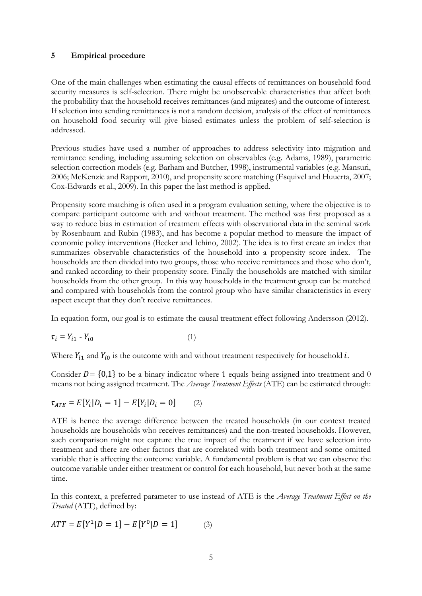#### **5 Empirical procedure**

One of the main challenges when estimating the causal effects of remittances on household food security measures is self-selection. There might be unobservable characteristics that affect both the probability that the household receives remittances (and migrates) and the outcome of interest. If selection into sending remittances is not a random decision, analysis of the effect of remittances on household food security will give biased estimates unless the problem of self-selection is addressed.

Previous studies have used a number of approaches to address selectivity into migration and remittance sending, including assuming selection on observables (e.g. Adams, 1989), parametric selection correction models (e.g. Barham and Butcher, 1998), instrumental variables (e.g. Mansuri, 2006; McKenzie and Rapport, 2010), and propensity score matching (Esquivel and Huuerta, 2007; Cox-Edwards et al., 2009). In this paper the last method is applied.

Propensity score matching is often used in a program evaluation setting, where the objective is to compare participant outcome with and without treatment. The method was first proposed as a way to reduce bias in estimation of treatment effects with observational data in the seminal work by Rosenbaum and Rubin (1983), and has become a popular method to measure the impact of economic policy interventions (Becker and Ichino, 2002). The idea is to first create an index that summarizes observable characteristics of the household into a propensity score index. The households are then divided into two groups, those who receive remittances and those who don't, and ranked according to their propensity score. Finally the households are matched with similar households from the other group. In this way households in the treatment group can be matched and compared with households from the control group who have similar characteristics in every aspect except that they don't receive remittances.

In equation form, our goal is to estimate the causal treatment effect following Andersson (2012).

$$
\tau_i = Y_{i1} - Y_{i0} \tag{1}
$$

Where  $Y_{i1}$  and  $Y_{i0}$  is the outcome with and without treatment respectively for household  $i$ .

Consider  $D = \{0,1\}$  to be a binary indicator where 1 equals being assigned into treatment and 0 means not being assigned treatment. The *Average Treatment Effects* (ATE) can be estimated through:

$$
\tau_{ATE} = E[Y_i | D_i = 1] - E[Y_i | D_i = 0]
$$
 (2)

ATE is hence the average difference between the treated households (in our context treated households are households who receives remittances) and the non-treated households. However, such comparison might not capture the true impact of the treatment if we have selection into treatment and there are other factors that are correlated with both treatment and some omitted variable that is affecting the outcome variable. A fundamental problem is that we can observe the outcome variable under either treatment or control for each household, but never both at the same time.

In this context, a preferred parameter to use instead of ATE is the *Average Treatment Effect on the Treated* (ATT), defined by:

$$
ATT = E[Y^1 | D = 1] - E[Y^0 | D = 1]
$$
 (3)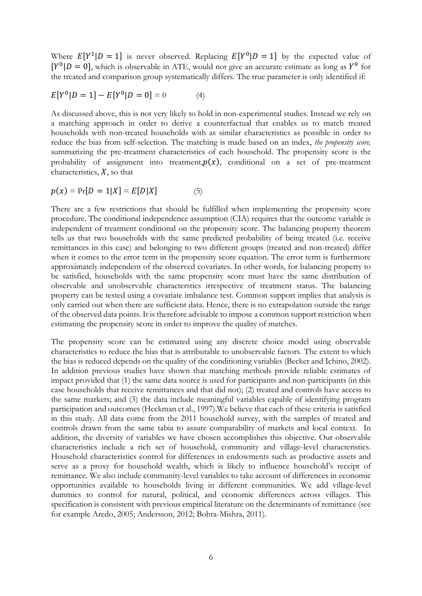Where  $E[Y^1|D = 1]$  is never observed. Replacing  $E[Y^0|D = 1]$  by the expected value of  $[Y^0|D = 0]$ , which is observable in ATE, would not give an accurate estimate as long as  $Y^0$  for the treated and comparison group systematically differs. The true parameter is only identified if:

$$
E[Y^0|D=1] - E[Y^0|D=0] = 0 \tag{4}
$$

As discussed above, this is not very likely to hold in non-experimental studies. Instead we rely on a matching approach in order to derive a counterfactual that enables us to match treated households with non-treated households with as similar characteristics as possible in order to reduce the bias from self-selection. The matching is made based on an index, *the propensity score,*  summarizing the pre-treatment characteristics of each household. The propensity score is the probability of assignment into treatment, $p(x)$ , conditional on a set of pre-treatment characteristics,  $X$ , so that

$$
p(x) = Pr[D = 1|X] = E[D|X]
$$
 (5)

There are a few restrictions that should be fulfilled when implementing the propensity score procedure. The conditional independence assumption (CIA) requires that the outcome variable is independent of treatment conditional on the propensity score. The balancing property theorem tells us that two households with the same predicted probability of being treated (i.e. receive remittances in this case) and belonging to two different groups (treated and non-treated) differ when it comes to the error term in the propensity score equation. The error term is furthermore approximately independent of the observed covariates. In other words, for balancing property to be satisfied, households with the same propensity score must have the same distribution of observable and unobservable characterstics irrespective of treatment status. The balancing property can be tested using a covariate imbalance test. Common support implies that analysis is only carried out when there are sufficient data. Hence, there is no extrapolation outside the range of the observed data points. It is therefore advisable to impose a common support restriction when estimating the propensity score in order to improve the quality of matches.

The propensity score can be estimated using any discrete choice model using observable characteristics to reduce the bias that is attributable to unobservable factors. The extent to which the bias is reduced depends on the quality of the conditioning variables (Becker and Ichino, 2002). In addition previous studies have shown that matching methods provide reliable estimates of impact provided that (1) the same data source is used for participants and non-participants (in this case households that receive remittances and that did not); (2) treated and controls have access to the same markets; and (3) the data include meaningful variables capable of identifying program participation and outcomes (Heckman et al., 1997).We believe that each of these criteria is satisfied in this study. All data come from the 2011 household survey, with the samples of treated and controls drawn from the same tabia to assure comparability of markets and local context. In addition, the diversity of variables we have chosen accomplishes this objective. Our observable characteristics include a rich set of household, community and village-level characteristics. Household characteristics control for differences in endowments such as productive assets and serve as a proxy for household wealth, which is likely to influence household's receipt of remittance. We also include community-level variables to take account of differences in economic opportunities available to households living in different communities. We add village-level dummies to control for natural, political, and economic differences across villages. This specification is consistent with previous empirical literature on the determinants of remittance (see for example Aredo, 2005; Andersson, 2012; Bohra-Mishra, 2011).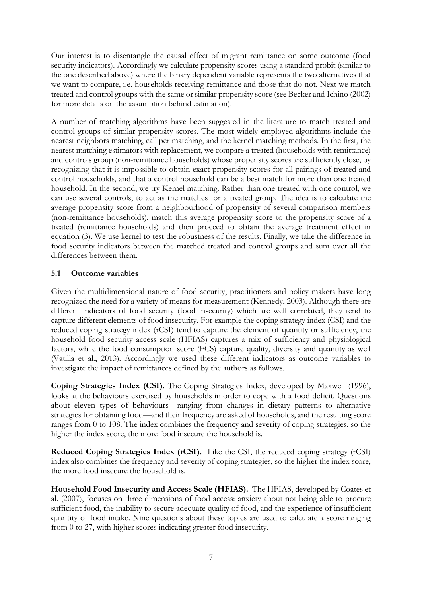Our interest is to disentangle the causal effect of migrant remittance on some outcome (food security indicators). Accordingly we calculate propensity scores using a standard probit (similar to the one described above) where the binary dependent variable represents the two alternatives that we want to compare, i.e. households receiving remittance and those that do not. Next we match treated and control groups with the same or similar propensity score (see Becker and Ichino (2002) for more details on the assumption behind estimation).

A number of matching algorithms have been suggested in the literature to match treated and control groups of similar propensity scores. The most widely employed algorithms include the nearest neighbors matching, calliper matching, and the kernel matching methods. In the first, the nearest matching estimators with replacement, we compare a treated (households with remittance) and controls group (non-remittance households) whose propensity scores are sufficiently close, by recognizing that it is impossible to obtain exact propensity scores for all pairings of treated and control households, and that a control household can be a best match for more than one treated household. In the second, we try Kernel matching. Rather than one treated with one control, we can use several controls, to act as the matches for a treated group. The idea is to calculate the average propensity score from a neighbourhood of propensity of several comparison members (non-remittance households), match this average propensity score to the propensity score of a treated (remittance households) and then proceed to obtain the average treatment effect in equation (3). We use kernel to test the robustness of the results. Finally, we take the difference in food security indicators between the matched treated and control groups and sum over all the differences between them.

#### **5.1 Outcome variables**

Given the multidimensional nature of food security, practitioners and policy makers have long recognized the need for a variety of means for measurement (Kennedy, 2003). Although there are different indicators of food security (food insecurity) which are well correlated, they tend to capture different elements of food insecurity. For example the coping strategy index (CSI) and the reduced coping strategy index (rCSI) tend to capture the element of quantity or sufficiency, the household food security access scale (HFIAS) captures a mix of sufficiency and physiological factors, while the food consumption score (FCS) capture quality, diversity and quantity as well (Vatilla et al., 2013). Accordingly we used these different indicators as outcome variables to investigate the impact of remittances defined by the authors as follows.

**Coping Strategies Index (CSI).** The Coping Strategies Index, developed by Maxwell (1996), looks at the behaviours exercised by households in order to cope with a food deficit. Questions about eleven types of behaviours—ranging from changes in dietary patterns to alternative strategies for obtaining food—and their frequency are asked of households, and the resulting score ranges from 0 to 108. The index combines the frequency and severity of coping strategies, so the higher the index score, the more food insecure the household is.

**Reduced Coping Strategies Index (rCSI).** Like the CSI, the reduced coping strategy (rCSI) index also combines the frequency and severity of coping strategies, so the higher the index score, the more food insecure the household is.

**Household Food Insecurity and Access Scale (HFIAS).** The HFIAS, developed by Coates et al. (2007), focuses on three dimensions of food access: anxiety about not being able to procure sufficient food, the inability to secure adequate quality of food, and the experience of insufficient quantity of food intake. Nine questions about these topics are used to calculate a score ranging from 0 to 27, with higher scores indicating greater food insecurity.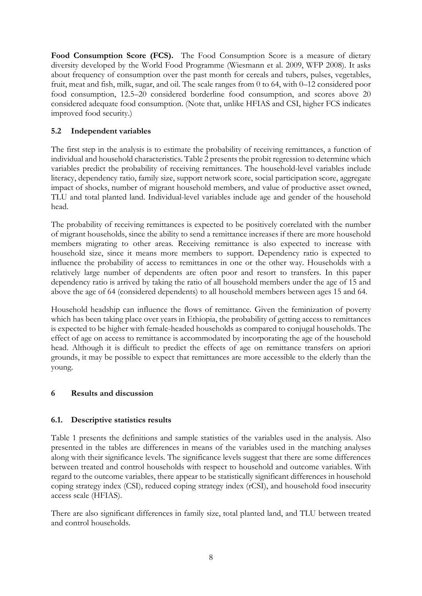Food Consumption Score (FCS). The Food Consumption Score is a measure of dietary diversity developed by the World Food Programme (Wiesmann et al. 2009, WFP 2008). It asks about frequency of consumption over the past month for cereals and tubers, pulses, vegetables, fruit, meat and fish, milk, sugar, and oil. The scale ranges from 0 to 64, with 0–12 considered poor food consumption, 12.5–20 considered borderline food consumption, and scores above 20 considered adequate food consumption. (Note that, unlike HFIAS and CSI, higher FCS indicates improved food security.)

## **5.2 Independent variables**

The first step in the analysis is to estimate the probability of receiving remittances, a function of individual and household characteristics. Table 2 presents the probit regression to determine which variables predict the probability of receiving remittances. The household-level variables include literacy, dependency ratio, family size, support network score, social participation score, aggregate impact of shocks, number of migrant household members, and value of productive asset owned, TLU and total planted land. Individual-level variables include age and gender of the household head.

The probability of receiving remittances is expected to be positively correlated with the number of migrant households, since the ability to send a remittance increases if there are more household members migrating to other areas. Receiving remittance is also expected to increase with household size, since it means more members to support. Dependency ratio is expected to influence the probability of access to remittances in one or the other way. Households with a relatively large number of dependents are often poor and resort to transfers. In this paper dependency ratio is arrived by taking the ratio of all household members under the age of 15 and above the age of 64 (considered dependents) to all household members between ages 15 and 64.

Household headship can influence the flows of remittance. Given the feminization of poverty which has been taking place over years in Ethiopia, the probability of getting access to remittances is expected to be higher with female-headed households as compared to conjugal households. The effect of age on access to remittance is accommodated by incorporating the age of the household head. Although it is difficult to predict the effects of age on remittance transfers on apriori grounds, it may be possible to expect that remittances are more accessible to the elderly than the young.

## **6 Results and discussion**

## **6.1. Descriptive statistics results**

Table 1 presents the definitions and sample statistics of the variables used in the analysis. Also presented in the tables are differences in means of the variables used in the matching analyses along with their significance levels. The significance levels suggest that there are some differences between treated and control households with respect to household and outcome variables. With regard to the outcome variables, there appear to be statistically significant differences in household coping strategy index (CSI), reduced coping strategy index (rCSI), and household food insecurity access scale (HFIAS).

There are also significant differences in family size, total planted land, and TLU between treated and control households.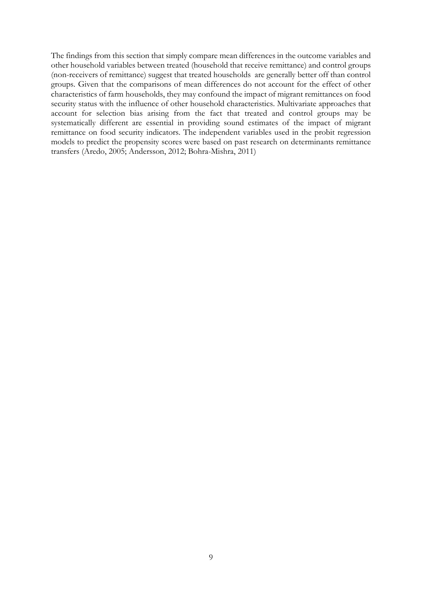The findings from this section that simply compare mean differences in the outcome variables and other household variables between treated (household that receive remittance) and control groups (non-receivers of remittance) suggest that treated households are generally better off than control groups. Given that the comparisons of mean differences do not account for the effect of other characteristics of farm households, they may confound the impact of migrant remittances on food security status with the influence of other household characteristics. Multivariate approaches that account for selection bias arising from the fact that treated and control groups may be systematically different are essential in providing sound estimates of the impact of migrant remittance on food security indicators. The independent variables used in the probit regression models to predict the propensity scores were based on past research on determinants remittance transfers (Aredo, 2005; Andersson, 2012; Bohra-Mishra, 2011)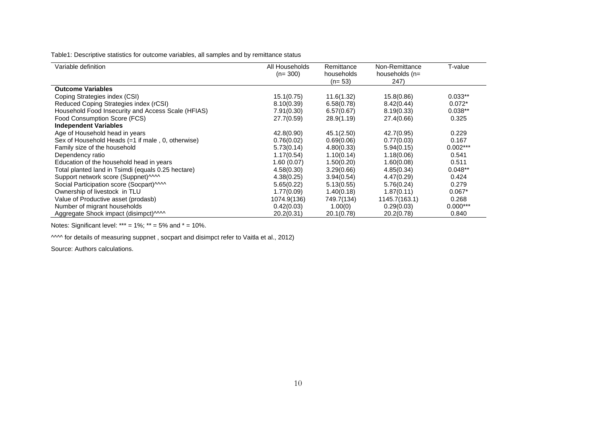Table1: Descriptive statistics for outcome variables, all samples and by remittance status

| Variable definition                                | All Households<br>$(n=300)$ | Remittance<br>households<br>$(n=53)$ | Non-Remittance<br>households (n=<br>247) | T-value    |
|----------------------------------------------------|-----------------------------|--------------------------------------|------------------------------------------|------------|
| <b>Outcome Variables</b>                           |                             |                                      |                                          |            |
| Coping Strategies index (CSI)                      | 15.1(0.75)                  | 11.6(1.32)                           | 15.8(0.86)                               | $0.033**$  |
| Reduced Coping Strategies index (rCSI)             | 8.10(0.39)                  | 6.58(0.78)                           | 8.42(0.44)                               | $0.072*$   |
| Household Food Insecurity and Access Scale (HFIAS) | 7.91(0.30)                  | 6.57(0.67)                           | 8.19(0.33)                               | $0.038**$  |
| Food Consumption Score (FCS)                       | 27.7(0.59)                  | 28.9(1.19)                           | 27.4(0.66)                               | 0.325      |
| <b>Independent Variables</b>                       |                             |                                      |                                          |            |
| Age of Household head in years                     | 42.8(0.90)                  | 45.1(2.50)                           | 42.7(0.95)                               | 0.229      |
| Sex of Household Heads (=1 if male, 0, otherwise)  | 0.76(0.02)                  | 0.69(0.06)                           | 0.77(0.03)                               | 0.167      |
| Family size of the household                       | 5.73(0.14)                  | 4.80(0.33)                           | 5.94(0.15)                               | $0.002***$ |
| Dependency ratio                                   | 1.17(0.54)                  | 1.10(0.14)                           | 1.18(0.06)                               | 0.541      |
| Education of the household head in years           | 1.60(0.07)                  | 1.50(0.20)                           | 1.60(0.08)                               | 0.511      |
| Total planted land in Tsimdi (equals 0.25 hectare) | 4.58(0.30)                  | 3.29(0.66)                           | 4.85(0.34)                               | $0.048**$  |
| Support network score (Suppnet)^^^^                | 4.38(0.25)                  | 3.94(0.54)                           | 4.47(0.29)                               | 0.424      |
| Social Participation score (Socpart) MM            | 5.65(0.22)                  | 5.13(0.55)                           | 5.76(0.24)                               | 0.279      |
| Ownership of livestock in TLU                      | 1.77(0.09)                  | 1.40(0.18)                           | 1.87(0.11)                               | $0.067*$   |
| Value of Productive asset (prodasb)                | 1074.9(136)                 | 749.7(134)                           | 1145.7(163.1)                            | 0.268      |
| Number of migrant households                       | 0.42(0.03)                  | 1.00(0)                              | 0.29(0.03)                               | $0.000***$ |
| Aggregate Shock impact (disimpct) MM               | 20.2(0.31)                  | 20.1(0.78)                           | 20.2(0.78)                               | 0.840      |

Notes: Significant level: \*\*\* =  $1\%$ ; \*\* =  $5\%$  and \* =  $10\%$ .

^^^^ for details of measuring suppnet , socpart and disimpct refer to Vaitla et al., 2012)

Source: Authors calculations.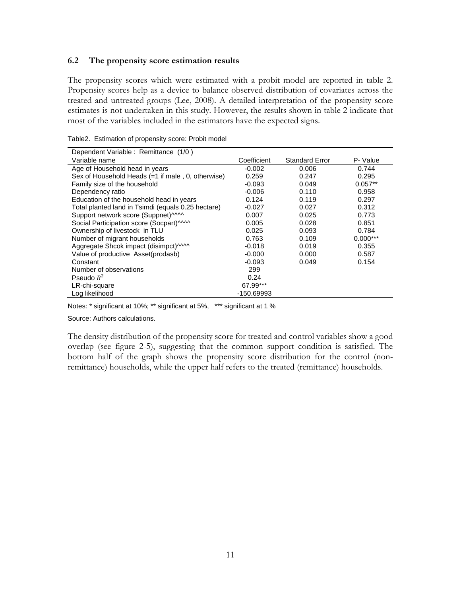#### **6.2 The propensity score estimation results**

The propensity scores which were estimated with a probit model are reported in table 2. Propensity scores help as a device to balance observed distribution of covariates across the treated and untreated groups (Lee, 2008). A detailed interpretation of the propensity score estimates is not undertaken in this study. However, the results shown in table 2 indicate that most of the variables included in the estimators have the expected signs.

| Dependent Variable : Remittance (1/0)              |             |                       |            |  |
|----------------------------------------------------|-------------|-----------------------|------------|--|
| Variable name                                      | Coefficient | <b>Standard Error</b> | P- Value   |  |
| Age of Household head in years                     | $-0.002$    | 0.006                 | 0.744      |  |
| Sex of Household Heads (=1 if male, 0, otherwise)  | 0.259       | 0.247                 | 0.295      |  |
| Family size of the household                       | $-0.093$    | 0.049                 | $0.057**$  |  |
| Dependency ratio                                   | $-0.006$    | 0.110                 | 0.958      |  |
| Education of the household head in years           | 0.124       | 0.119                 | 0.297      |  |
| Total planted land in Tsimdi (equals 0.25 hectare) | $-0.027$    | 0.027                 | 0.312      |  |
| Support network score (Suppnet) MM                 | 0.007       | 0.025                 | 0.773      |  |
| Social Participation score (Socpart) MM            | 0.005       | 0.028                 | 0.851      |  |
| Ownership of livestock in TLU                      | 0.025       | 0.093                 | 0.784      |  |
| Number of migrant households                       | 0.763       | 0.109                 | $0.000***$ |  |
| Aggregate Shcok impact (disimpct) MM               | $-0.018$    | 0.019                 | 0.355      |  |
| Value of productive Asset(prodasb)                 | $-0.000$    | 0.000                 | 0.587      |  |
| Constant                                           | $-0.093$    | 0.049                 | 0.154      |  |
| Number of observations                             | 299         |                       |            |  |
| Pseudo $R^2$                                       | 0.24        |                       |            |  |
| LR-chi-square                                      | 67.99***    |                       |            |  |
| Log likelihood                                     | -150.69993  |                       |            |  |

Table2. Estimation of propensity score: Probit model

Notes: \* significant at 10%; \*\* significant at 5%, \*\*\* significant at 1 %

Source: Authors calculations.

The density distribution of the propensity score for treated and control variables show a good overlap (see figure 2-5), suggesting that the common support condition is satisfied. The bottom half of the graph shows the propensity score distribution for the control (nonremittance) households, while the upper half refers to the treated (remittance) households.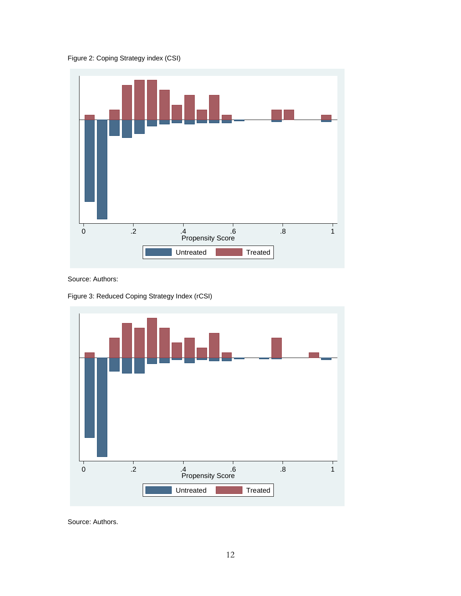Figure 2: Coping Strategy index (CSI)



Source: Authors:

Figure 3: Reduced Coping Strategy Index (rCSI)



Source: Authors.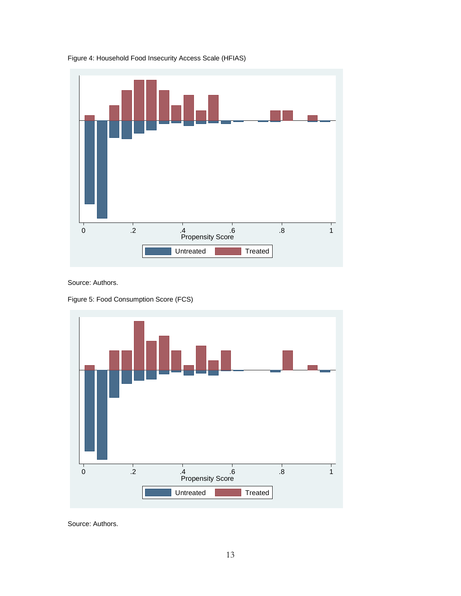

Figure 4: Household Food Insecurity Access Scale (HFIAS)

Source: Authors.

Figure 5: Food Consumption Score (FCS)



Source: Authors.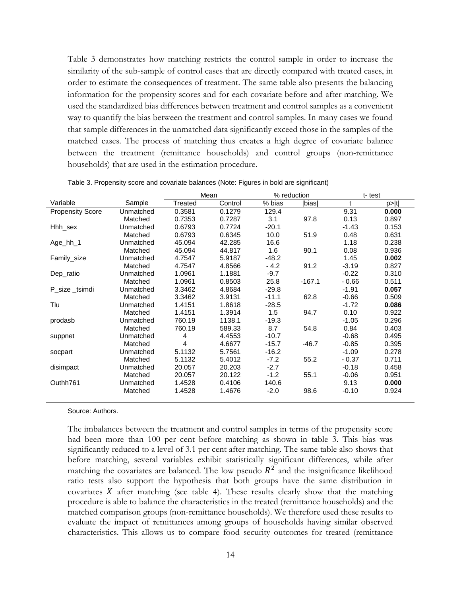Table 3 demonstrates how matching restricts the control sample in order to increase the similarity of the sub-sample of control cases that are directly compared with treated cases, in order to estimate the consequences of treatment. The same table also presents the balancing information for the propensity scores and for each covariate before and after matching. We used the standardized bias differences between treatment and control samples as a convenient way to quantify the bias between the treatment and control samples. In many cases we found that sample differences in the unmatched data significantly exceed those in the samples of the matched cases. The process of matching thus creates a high degree of covariate balance between the treatment (remittance households) and control groups (non-remittance households) that are used in the estimation procedure.

|                         |           | Mean           |         | % reduction |               | t-test      |       |
|-------------------------|-----------|----------------|---------|-------------|---------------|-------------|-------|
| Variable                | Sample    | Treated        | Control | % bias      | <b>Ibiasl</b> | $\mathbf t$ | p> t  |
| <b>Propensity Score</b> | Unmatched | 0.3581         | 0.1279  | 129.4       |               | 9.31        | 0.000 |
|                         | Matched   | 0.7353         | 0.7287  | 3.1         | 97.8          | 0.13        | 0.897 |
| Hhh sex                 | Unmatched | 0.6793         | 0.7724  | $-20.1$     |               | $-1.43$     | 0.153 |
|                         | Matched   | 0.6793         | 0.6345  | 10.0        | 51.9          | 0.48        | 0.631 |
| Age_hh_1                | Unmatched | 45.094         | 42.285  | 16.6        |               | 1.18        | 0.238 |
|                         | Matched   | 45.094         | 44.817  | 1.6         | 90.1          | 0.08        | 0.936 |
| Family_size             | Unmatched | 4.7547         | 5.9187  | $-48.2$     |               | 1.45        | 0.002 |
|                         | Matched   | 4.7547         | 4.8566  | $-4.2$      | 91.2          | $-3.19$     | 0.827 |
| Dep_ratio               | Unmatched | 1.0961         | 1.1881  | $-9.7$      |               | $-0.22$     | 0.310 |
|                         | Matched   | 1.0961         | 0.8503  | 25.8        | $-167.1$      | $-0.66$     | 0.511 |
| P size tsimdi           | Unmatched | 3.3462         | 4.8684  | $-29.8$     |               | $-1.91$     | 0.057 |
|                         | Matched   | 3.3462         | 3.9131  | $-11.1$     | 62.8          | $-0.66$     | 0.509 |
| Tlu                     | Unmatched | 1.4151         | 1.8618  | $-28.5$     |               | $-1.72$     | 0.086 |
|                         | Matched   | 1.4151         | 1.3914  | 1.5         | 94.7          | 0.10        | 0.922 |
| prodasb                 | Unmatched | 760.19         | 1138.1  | $-19.3$     |               | $-1.05$     | 0.296 |
|                         | Matched   | 760.19         | 589.33  | 8.7         | 54.8          | 0.84        | 0.403 |
| suppnet                 | Unmatched | $\overline{4}$ | 4.4553  | $-10.7$     |               | $-0.68$     | 0.495 |
|                         | Matched   | 4              | 4.6677  | $-15.7$     | $-46.7$       | $-0.85$     | 0.395 |
| socpart                 | Unmatched | 5.1132         | 5.7561  | $-16.2$     |               | $-1.09$     | 0.278 |
|                         | Matched   | 5.1132         | 5.4012  | $-7.2$      | 55.2          | $-0.37$     | 0.711 |
| disimpact               | Unmatched | 20.057         | 20.203  | $-2.7$      |               | $-0.18$     | 0.458 |
|                         | Matched   | 20.057         | 20.122  | $-1.2$      | 55.1          | $-0.06$     | 0.951 |
| Outhh761                | Unmatched | 1.4528         | 0.4106  | 140.6       |               | 9.13        | 0.000 |
|                         | Matched   | 1.4528         | 1.4676  | $-2.0$      | 98.6          | $-0.10$     | 0.924 |
|                         |           |                |         |             |               |             |       |

Table 3. Propensity score and covariate balances (Note: Figures in bold are significant)

Source: Authors.

The imbalances between the treatment and control samples in terms of the propensity score had been more than 100 per cent before matching as shown in table 3. This bias was significantly reduced to a level of 3.1 per cent after matching. The same table also shows that before matching, several variables exhibit statistically significant differences, while after matching the covariates are balanced. The low pseudo  $R^2$  and the insignificance likelihood ratio tests also support the hypothesis that both groups have the same distribution in covariates  $X$  after matching (see table 4). These results clearly show that the matching procedure is able to balance the characteristics in the treated (remittance households) and the matched comparison groups (non-remittance households). We therefore used these results to evaluate the impact of remittances among groups of households having similar observed characteristics. This allows us to compare food security outcomes for treated (remittance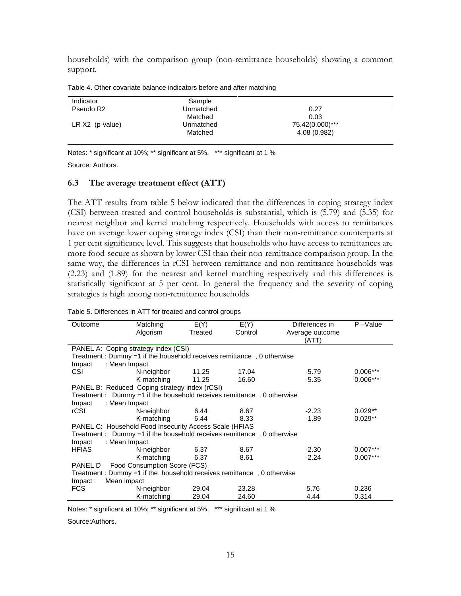households) with the comparison group (non-remittance households) showing a common support.

| Indicator             | Sample    |                 |  |
|-----------------------|-----------|-----------------|--|
| Pseudo R <sub>2</sub> | Unmatched | 0.27            |  |
|                       | Matched   | 0.03            |  |
| $LR X2$ (p-value)     | Unmatched | 75.42(0.000)*** |  |
|                       | Matched   | 4.08 (0.982)    |  |

Table 4. Other covariate balance indicators before and after matching

Notes: \* significant at 10%; \*\* significant at 5%, \*\*\* significant at 1 %

Source: Authors.

#### **6.3 The average treatment effect (ATT)**

The ATT results from table 5 below indicated that the differences in coping strategy index (CSI) between treated and control households is substantial, which is (5.79) and (5.35) for nearest neighbor and kernel matching respectively. Households with access to remittances have on average lower coping strategy index (CSI) than their non-remittance counterparts at 1 per cent significance level. This suggests that households who have access to remittances are more food-secure as shown by lower CSI than their non-remittance comparison group. In the same way, the differences in rCSI between remittance and non-remittance households was (2.23) and (1.89) for the nearest and kernel matching respectively and this differences is statistically significant at 5 per cent. In general the frequency and the severity of coping strategies is high among non-remittance households

| Outcome                                                                | Matching                                                                  | E(Y)    | E(Y)    | Differences in  | $P - Value$ |  |  |
|------------------------------------------------------------------------|---------------------------------------------------------------------------|---------|---------|-----------------|-------------|--|--|
|                                                                        | Algorism                                                                  | Treated | Control | Average outcome |             |  |  |
|                                                                        |                                                                           |         |         | (ATT)           |             |  |  |
|                                                                        | PANEL A: Coping strategy index (CSI)                                      |         |         |                 |             |  |  |
|                                                                        | Treatment: Dummy =1 if the household receives remittance, 0 otherwise     |         |         |                 |             |  |  |
| Impact                                                                 | : Mean Impact                                                             |         |         |                 |             |  |  |
| <b>CSI</b>                                                             | N-neighbor                                                                | 11.25   | 17.04   | $-5.79$         | $0.006***$  |  |  |
|                                                                        | K-matching                                                                | 11.25   | 16.60   | $-5.35$         | $0.006***$  |  |  |
|                                                                        | PANEL B: Reduced Coping strategy index (rCSI)                             |         |         |                 |             |  |  |
|                                                                        | Treatment : $Dummy = 1$ if the household receives remittance, 0 otherwise |         |         |                 |             |  |  |
| Impact                                                                 | : Mean Impact                                                             |         |         |                 |             |  |  |
| rCSI                                                                   | N-neighbor                                                                | 6.44    | 8.67    | $-2.23$         | $0.029**$   |  |  |
|                                                                        | K-matching                                                                | 6.44    | 8.33    | $-1.89$         | $0.029**$   |  |  |
| PANEL C: Household Food Insecurity Access Scale (HFIAS                 |                                                                           |         |         |                 |             |  |  |
| Treatment : Dummy =1 if the household receives remittance, 0 otherwise |                                                                           |         |         |                 |             |  |  |
| Impact                                                                 | : Mean Impact                                                             |         |         |                 |             |  |  |
| <b>HFIAS</b>                                                           | N-neighbor                                                                | 6.37    | 8.67    | $-2.30$         | $0.007***$  |  |  |
|                                                                        | K-matching                                                                | 6.37    | 8.61    | $-2.24$         | $0.007***$  |  |  |
| Food Consumption Score (FCS)<br>PANEL D                                |                                                                           |         |         |                 |             |  |  |
| Treatment: Dummy =1 if the household receives remittance, 0 otherwise  |                                                                           |         |         |                 |             |  |  |
| $Im$ pact:                                                             | Mean impact                                                               |         |         |                 |             |  |  |
| FCS.                                                                   | N-neighbor                                                                | 29.04   | 23.28   | 5.76            | 0.236       |  |  |
|                                                                        | K-matching                                                                | 29.04   | 24.60   | 4.44            | 0.314       |  |  |

Table 5. Differences in ATT for treated and control groups

Notes: \* significant at 10%; \*\* significant at 5%, \*\*\* significant at 1 %

Source:Authors.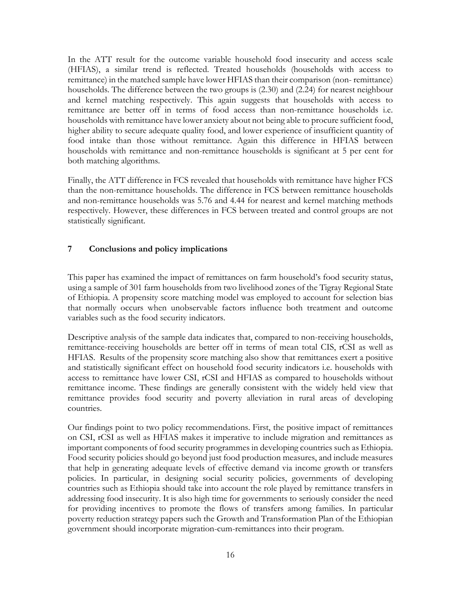In the ATT result for the outcome variable household food insecurity and access scale (HFIAS), a similar trend is reflected. Treated households (households with access to remittance) in the matched sample have lower HFIAS than their comparison (non- remittance) households. The difference between the two groups is (2.30) and (2.24) for nearest neighbour and kernel matching respectively. This again suggests that households with access to remittance are better off in terms of food access than non-remittance households i.e. households with remittance have lower anxiety about not being able to procure sufficient food, higher ability to secure adequate quality food, and lower experience of insufficient quantity of food intake than those without remittance. Again this difference in HFIAS between households with remittance and non-remittance households is significant at 5 per cent for both matching algorithms.

Finally, the ATT difference in FCS revealed that households with remittance have higher FCS than the non-remittance households. The difference in FCS between remittance households and non-remittance households was 5.76 and 4.44 for nearest and kernel matching methods respectively. However, these differences in FCS between treated and control groups are not statistically significant.

#### **7 Conclusions and policy implications**

This paper has examined the impact of remittances on farm household's food security status, using a sample of 301 farm households from two livelihood zones of the Tigray Regional State of Ethiopia. A propensity score matching model was employed to account for selection bias that normally occurs when unobservable factors influence both treatment and outcome variables such as the food security indicators.

Descriptive analysis of the sample data indicates that, compared to non-receiving households, remittance-receiving households are better off in terms of mean total CIS, rCSI as well as HFIAS. Results of the propensity score matching also show that remittances exert a positive and statistically significant effect on household food security indicators i.e. households with access to remittance have lower CSI, rCSI and HFIAS as compared to households without remittance income. These findings are generally consistent with the widely held view that remittance provides food security and poverty alleviation in rural areas of developing countries.

Our findings point to two policy recommendations. First, the positive impact of remittances on CSI, rCSI as well as HFIAS makes it imperative to include migration and remittances as important components of food security programmes in developing countries such as Ethiopia. Food security policies should go beyond just food production measures, and include measures that help in generating adequate levels of effective demand via income growth or transfers policies. In particular, in designing social security policies, governments of developing countries such as Ethiopia should take into account the role played by remittance transfers in addressing food insecurity. It is also high time for governments to seriously consider the need for providing incentives to promote the flows of transfers among families. In particular poverty reduction strategy papers such the Growth and Transformation Plan of the Ethiopian government should incorporate migration-cum-remittances into their program.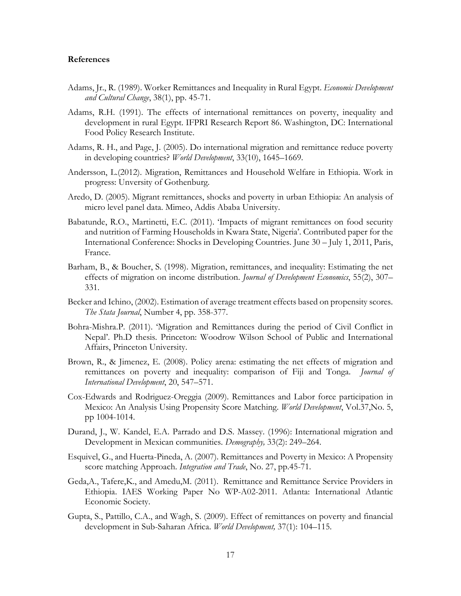#### **References**

- Adams, Jr., R. (1989). Worker Remittances and Inequality in Rural Egypt. *Economic Development and Cultural Change*, 38(1), pp. 45-71.
- Adams, R.H. (1991). The effects of international remittances on poverty, inequality and development in rural Egypt. IFPRI Research Report 86. Washington, DC: International Food Policy Research Institute.
- Adams, R. H., and Page, J. (2005). Do international migration and remittance reduce poverty in developing countries? *World Development*, 33(10), 1645–1669.
- Andersson, L.(2012). Migration, Remittances and Household Welfare in Ethiopia. Work in progress: Unversity of Gothenburg.
- Aredo, D. (2005). Migrant remittances, shocks and poverty in urban Ethiopia: An analysis of micro level panel data. Mimeo, Addis Ababa University.
- Babatunde, R.O., Martinetti, E.C. (2011). 'Impacts of migrant remittances on food security and nutrition of Farming Households in Kwara State, Nigeria'. Contributed paper for the International Conference: Shocks in Developing Countries. June 30 – July 1, 2011, Paris, France.
- Barham, B., & Boucher, S. (1998). Migration, remittances, and inequality: Estimating the net effects of migration on income distribution. *Journal of Development Economics*, 55(2), 307– 331.
- Becker and Ichino, (2002). Estimation of average treatment effects based on propensity scores. *The Stata Journal*, Number 4, pp. 358-377.
- Bohra-Mishra.P. (2011). 'Migration and Remittances during the period of Civil Conflict in Nepal'. Ph.D thesis. Princeton: Woodrow Wilson School of Public and International Affairs, Princeton University.
- Brown, R., & Jimenez, E. (2008). Policy arena: estimating the net effects of migration and remittances on poverty and inequality: comparison of Fiji and Tonga. *Journal of International Development*, 20, 547–571.
- Cox-Edwards and Rodriguez-Oreggia (2009). Remittances and Labor force participation in Mexico: An Analysis Using Propensity Score Matching. *World Development*, Vol.37,No. 5, pp 1004-1014.
- Durand, J., W. Kandel, E.A. Parrado and D.S. Massey. (1996): International migration and Development in Mexican communities. *Demography,* 33(2): 249–264.
- Esquivel, G., and Huerta-Pineda, A. (2007). Remittances and Poverty in Mexico: A Propensity score matching Approach. *Integration and Trade*, No. 27, pp.45-71.
- Geda,A., Tafere,K., and Amedu,M. (2011). Remittance and Remittance Service Providers in Ethiopia. IAES Working Paper No WP-A02-2011. Atlanta: International Atlantic Economic Society.
- Gupta, S., Pattillo, C.A., and Wagh, S. (2009). Effect of remittances on poverty and financial development in Sub-Saharan Africa. *World Development,* 37(1): 104–115.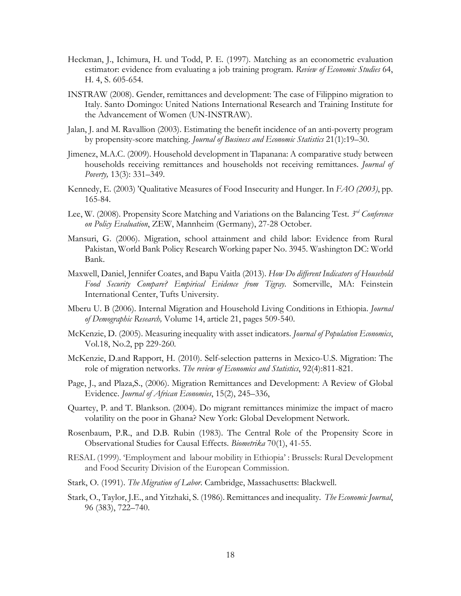- Heckman, J., Ichimura, H. und Todd, P. E. (1997). Matching as an econometric evaluation estimator: evidence from evaluating a job training program. *Review of Economic Studies* 64, H. 4, S. 605-654.
- INSTRAW (2008). Gender, remittances and development: The case of Filippino migration to Italy. Santo Domingo: United Nations International Research and Training Institute for the Advancement of Women (UN-INSTRAW).
- Jalan, J. and M. Ravallion (2003). Estimating the benefit incidence of an anti-poverty program by propensity-score matching. *Journal of Business and Economic Statistics* 21(1):19–30.
- Jimenez, M.A.C. (2009). Household development in Tlapanana: A comparative study between households receiving remittances and households not receiving remittances. *Journal of Poverty,* 13(3): 331–349.
- Kennedy, E. (2003) 'Qualitative Measures of Food Insecurity and Hunger. In *FAO (2003)*, pp. 165-84.
- Lee, W. (2008). Propensity Score Matching and Variations on the Balancing Test. *3rd Conference on Policy Evaluation*, ZEW, Mannheim (Germany), 27-28 October.
- Mansuri, G. (2006). Migration, school attainment and child labor: Evidence from Rural Pakistan, World Bank Policy Research Working paper No. 3945. Washington DC: World Bank.
- Maxwell, Daniel, Jennifer Coates, and Bapu Vaitla (2013). *How Do different Indicators of Household Food Security Compare? Empirical Evidence from Tigray*. Somerville, MA: Feinstein International Center, Tufts University.
- Mberu U. B (2006). Internal Migration and Household Living Conditions in Ethiopia. *Journal of Demographic Research,* Volume 14, article 21, pages 509-540.
- McKenzie, D. (2005). Measuring inequality with asset indicators. *Journal of Population Economics*, Vol.18, No.2, pp 229-260.
- McKenzie, D.and Rapport, H. (2010). Self-selection patterns in Mexico-U.S. Migration: The role of migration networks. *The review of Economics and Statistics*, 92(4):811-821.
- Page, J., and Plaza,S., (2006). Migration Remittances and Development: A Review of Global Evidence. *Journal of African Economies*, 15(2), 245–336,
- Quartey, P. and T. Blankson. (2004). Do migrant remittances minimize the impact of macro volatility on the poor in Ghana? New York: Global Development Network.
- Rosenbaum, P.R., and D.B. Rubin (1983). The Central Role of the Propensity Score in Observational Studies for Causal Effects. *Biometrika* 70(1), 41-55.
- RESAL (1999). 'Employment and labour mobility in Ethiopia' : Brussels: Rural Development and Food Security Division of the European Commission.
- Stark, O. (1991). *The Migration of Labor*. Cambridge, Massachusetts: Blackwell.
- Stark, O., Taylor, J.E., and Yitzhaki, S. (1986). Remittances and inequality. *The Economic Journal*, 96 (383), 722–740.